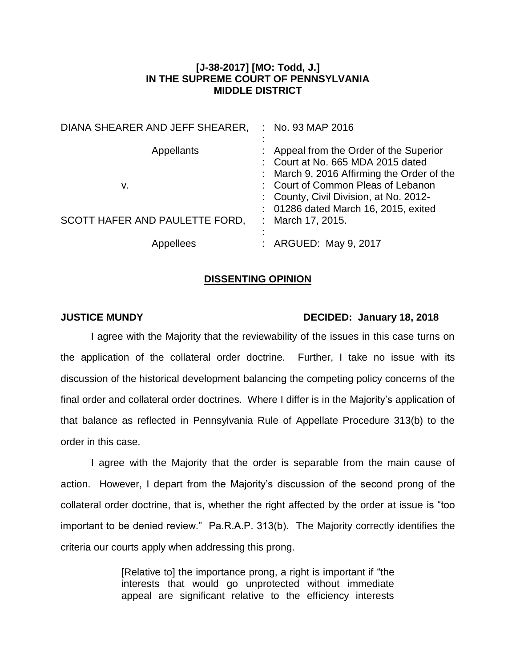# **[J-38-2017] [MO: Todd, J.] IN THE SUPREME COURT OF PENNSYLVANIA MIDDLE DISTRICT**

| DIANA SHEARER AND JEFF SHEARER, | No. 93 MAP 2016                                                                                                            |
|---------------------------------|----------------------------------------------------------------------------------------------------------------------------|
| <b>Appellants</b>               | : Appeal from the Order of the Superior<br>: Court at No. 665 MDA 2015 dated<br>: March 9, 2016 Affirming the Order of the |
| v.                              | : Court of Common Pleas of Lebanon<br>: County, Civil Division, at No. 2012-<br>: 01286 dated March 16, 2015, exited       |
| SCOTT HAFER AND PAULETTE FORD,  | March 17, 2015.<br>÷                                                                                                       |
| Appellees                       | : ARGUED: May 9, 2017                                                                                                      |

### **DISSENTING OPINION**

## **JUSTICE MUNDY DECIDED: January 18, 2018**

I agree with the Majority that the reviewability of the issues in this case turns on the application of the collateral order doctrine. Further, I take no issue with its discussion of the historical development balancing the competing policy concerns of the final order and collateral order doctrines. Where I differ is in the Majority's application of that balance as reflected in Pennsylvania Rule of Appellate Procedure 313(b) to the order in this case.

I agree with the Majority that the order is separable from the main cause of action. However, I depart from the Majority's discussion of the second prong of the collateral order doctrine, that is, whether the right affected by the order at issue is "too important to be denied review." Pa.R.A.P. 313(b). The Majority correctly identifies the criteria our courts apply when addressing this prong.

> [Relative to] the importance prong, a right is important if "the interests that would go unprotected without immediate appeal are significant relative to the efficiency interests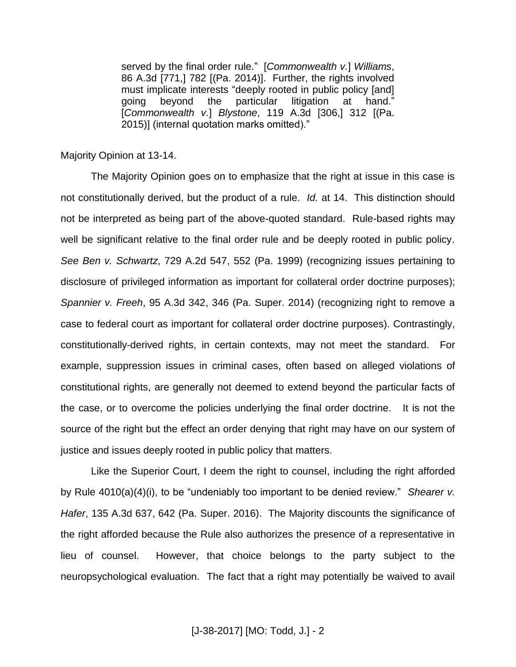served by the final order rule." [*Commonwealth v.*] *Williams*, 86 A.3d [771,] 782 [(Pa. 2014)]. Further, the rights involved must implicate interests "deeply rooted in public policy [and] going beyond the particular litigation at hand." [*Commonwealth v.*] *Blystone*, 119 A.3d [306,] 312 [(Pa. 2015)] (internal quotation marks omitted)."

### Majority Opinion at 13-14.

The Majority Opinion goes on to emphasize that the right at issue in this case is not constitutionally derived, but the product of a rule. *Id.* at 14. This distinction should not be interpreted as being part of the above-quoted standard. Rule-based rights may well be significant relative to the final order rule and be deeply rooted in public policy. *See Ben v. Schwartz*, 729 A.2d 547, 552 (Pa. 1999) (recognizing issues pertaining to disclosure of privileged information as important for collateral order doctrine purposes); *Spannier v. Freeh*, 95 A.3d 342, 346 (Pa. Super. 2014) (recognizing right to remove a case to federal court as important for collateral order doctrine purposes). Contrastingly, constitutionally-derived rights, in certain contexts, may not meet the standard. For example, suppression issues in criminal cases, often based on alleged violations of constitutional rights, are generally not deemed to extend beyond the particular facts of the case, or to overcome the policies underlying the final order doctrine. It is not the source of the right but the effect an order denying that right may have on our system of justice and issues deeply rooted in public policy that matters.

Like the Superior Court, I deem the right to counsel, including the right afforded by Rule 4010(a)(4)(i), to be "undeniably too important to be denied review." *Shearer v. Hafer*, 135 A.3d 637, 642 (Pa. Super. 2016). The Majority discounts the significance of the right afforded because the Rule also authorizes the presence of a representative in lieu of counsel. However, that choice belongs to the party subject to the neuropsychological evaluation. The fact that a right may potentially be waived to avail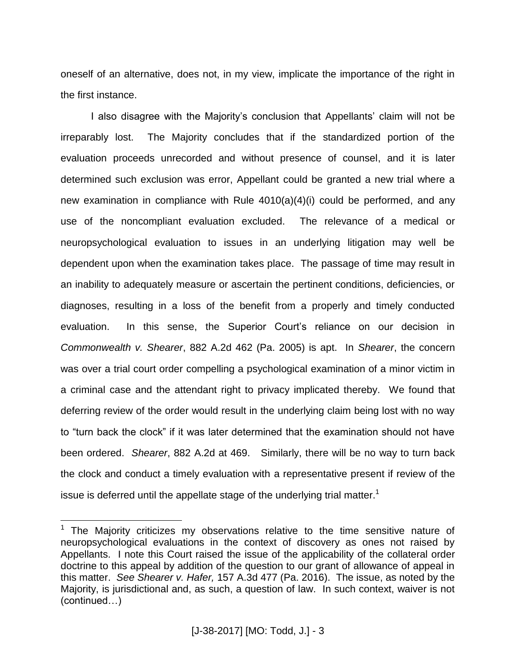oneself of an alternative, does not, in my view, implicate the importance of the right in the first instance.

I also disagree with the Majority's conclusion that Appellants' claim will not be irreparably lost. The Majority concludes that if the standardized portion of the evaluation proceeds unrecorded and without presence of counsel, and it is later determined such exclusion was error, Appellant could be granted a new trial where a new examination in compliance with Rule  $4010(a)(4)(i)$  could be performed, and any use of the noncompliant evaluation excluded. The relevance of a medical or neuropsychological evaluation to issues in an underlying litigation may well be dependent upon when the examination takes place. The passage of time may result in an inability to adequately measure or ascertain the pertinent conditions, deficiencies, or diagnoses, resulting in a loss of the benefit from a properly and timely conducted evaluation. In this sense, the Superior Court's reliance on our decision in *Commonwealth v. Shearer*, 882 A.2d 462 (Pa. 2005) is apt. In *Shearer*, the concern was over a trial court order compelling a psychological examination of a minor victim in a criminal case and the attendant right to privacy implicated thereby. We found that deferring review of the order would result in the underlying claim being lost with no way to "turn back the clock" if it was later determined that the examination should not have been ordered. *Shearer*, 882 A.2d at 469. Similarly, there will be no way to turn back the clock and conduct a timely evaluation with a representative present if review of the issue is deferred until the appellate stage of the underlying trial matter.<sup>1</sup>

 $\overline{a}$ 

 $1$  The Majority criticizes my observations relative to the time sensitive nature of neuropsychological evaluations in the context of discovery as ones not raised by Appellants. I note this Court raised the issue of the applicability of the collateral order doctrine to this appeal by addition of the question to our grant of allowance of appeal in this matter. *See Shearer v. Hafer,* 157 A.3d 477 (Pa. 2016). The issue, as noted by the Majority, is jurisdictional and, as such, a question of law. In such context, waiver is not (continued…)